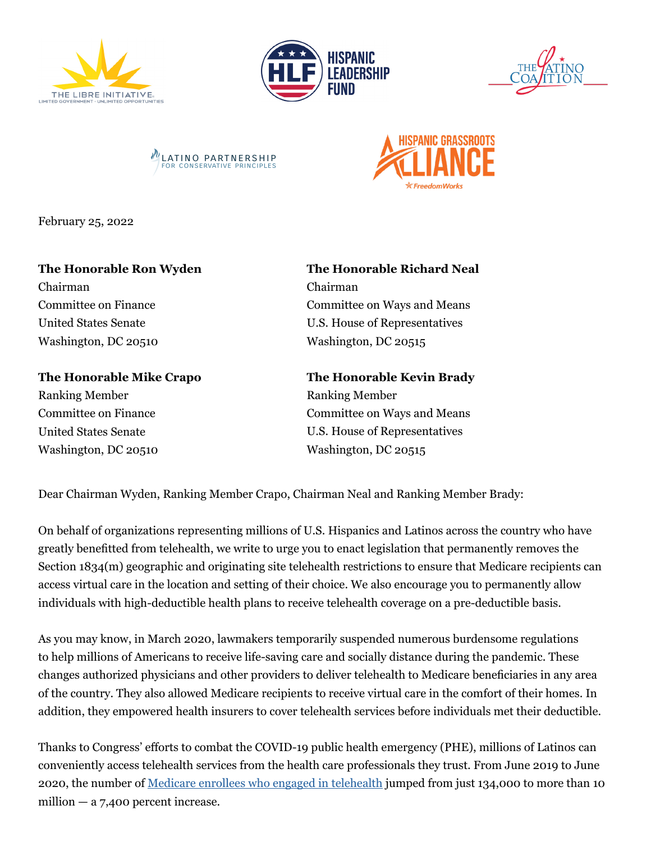









February 25, 2022

## **The Honorable Ron Wyden**

Chairman Committee on Finance United States Senate Washington, DC 20510

**The Honorable Mike Crapo**  Ranking Member Committee on Finance United States Senate Washington, DC 20510

## **The Honorable Richard Neal** Chairman

Committee on Ways and Means U.S. House of Representatives Washington, DC 20515

**The Honorable Kevin Brady**  Ranking Member Committee on Ways and Means U.S. House of Representatives Washington, DC 20515

Dear Chairman Wyden, Ranking Member Crapo, Chairman Neal and Ranking Member Brady:

On behalf of organizations representing millions of U.S. Hispanics and Latinos across the country who have greatly benefitted from telehealth, we write to urge you to enact legislation that permanently removes the Section 1834(m) geographic and originating site telehealth restrictions to ensure that Medicare recipients can access virtual care in the location and setting of their choice. We also encourage you to permanently allow individuals with high-deductible health plans to receive telehealth coverage on a pre-deductible basis.

As you may know, in March 2020, lawmakers temporarily suspended numerous burdensome regulations to help millions of Americans to receive life-saving care and socially distance during the pandemic. These changes authorized physicians and other providers to deliver telehealth to Medicare beneficiaries in any area of the country. They also allowed Medicare recipients to receive virtual care in the comfort of their homes. In addition, they empowered health insurers to cover telehealth services before individuals met their deductible.

Thanks to Congress' efforts to combat the COVID-19 public health emergency (PHE), millions of Latinos can conveniently access telehealth services from the health care professionals they trust. From June 2019 to June 2020, the number of [Medicare enrollees who engaged in telehealth](https://americansforprosperity.org/telehealth-report-pandemic-lessons/) jumped from just 134,000 to more than 10 million  $-$  a 7,400 percent increase.